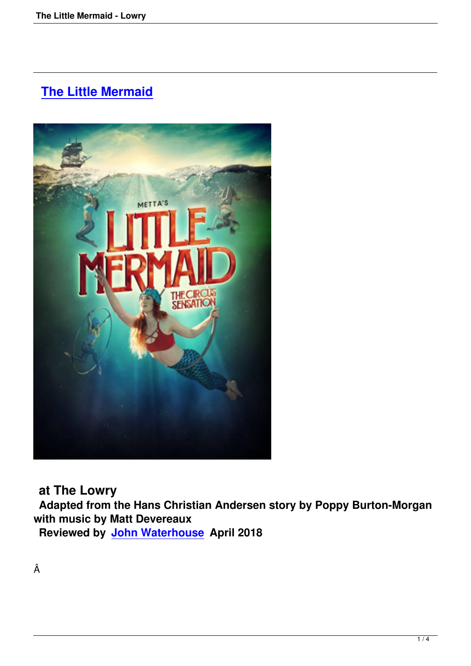# **The Little Mermaid**



**at The Lowry**

 **Adapted from the Hans Christian Andersen story by Poppy Burton-Morgan with music by Matt Devereaux**

**Reviewed by John Waterhouse April 2018**

Â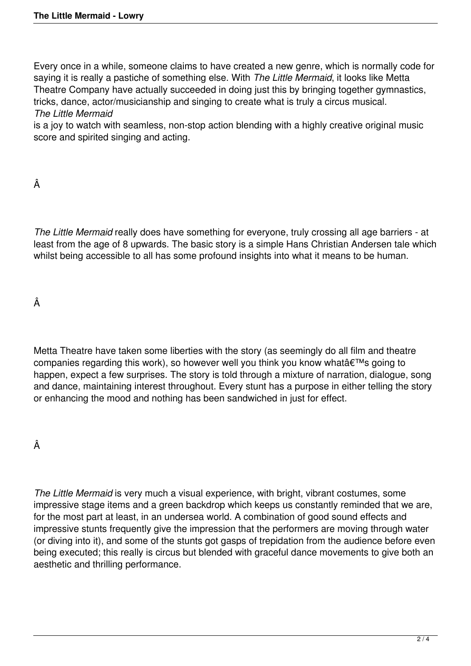Every once in a while, someone claims to have created a new genre, which is normally code for saying it is really a pastiche of something else. With *The Little Mermaid*, it looks like Metta Theatre Company have actually succeeded in doing just this by bringing together gymnastics, tricks, dance, actor/musicianship and singing to create what is truly a circus musical. *The Little Mermaid*

is a joy to watch with seamless, non-stop action blending with a highly creative original music score and spirited singing and acting.

Â

*The Little Mermaid* really does have something for everyone, truly crossing all age barriers - at least from the age of 8 upwards. The basic story is a simple Hans Christian Andersen tale which whilst being accessible to all has some profound insights into what it means to be human.

Â

Metta Theatre have taken some liberties with the story (as seemingly do all film and theatre companies regarding this work), so however well you think you know what's going to happen, expect a few surprises. The story is told through a mixture of narration, dialogue, song and dance, maintaining interest throughout. Every stunt has a purpose in either telling the story or enhancing the mood and nothing has been sandwiched in just for effect.

Â

*The Little Mermaid* is very much a visual experience, with bright, vibrant costumes, some impressive stage items and a green backdrop which keeps us constantly reminded that we are, for the most part at least, in an undersea world. A combination of good sound effects and impressive stunts frequently give the impression that the performers are moving through water (or diving into it), and some of the stunts got gasps of trepidation from the audience before even being executed; this really is circus but blended with graceful dance movements to give both an aesthetic and thrilling performance.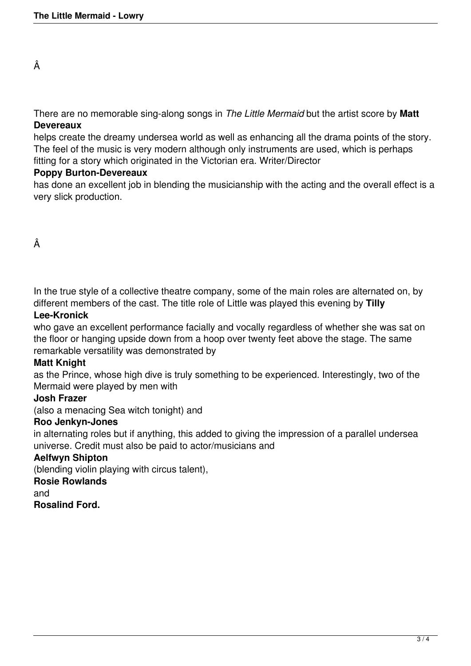There are no memorable sing-along songs in *The Little Mermaid* but the artist score by **Matt Devereaux**

helps create the dreamy undersea world as well as enhancing all the drama points of the story. The feel of the music is very modern although only instruments are used, which is perhaps fitting for a story which originated in the Victorian era. Writer/Director

### **Poppy Burton-Devereaux**

has done an excellent job in blending the musicianship with the acting and the overall effect is a very slick production.

Â

In the true style of a collective theatre company, some of the main roles are alternated on, by different members of the cast. The title role of Little was played this evening by **Tilly**

# **Lee-Kronick**

who gave an excellent performance facially and vocally regardless of whether she was sat on the floor or hanging upside down from a hoop over twenty feet above the stage. The same remarkable versatility was demonstrated by

#### **Matt Knight**

as the Prince, whose high dive is truly something to be experienced. Interestingly, two of the Mermaid were played by men with

# **Josh Frazer**

(also a menacing Sea witch tonight) and

#### **Roo Jenkyn-Jones**

in alternating roles but if anything, this added to giving the impression of a parallel undersea universe. Credit must also be paid to actor/musicians and

# **Aelfwyn Shipton**

(blending violin playing with circus talent),

### **Rosie Rowlands**

and

**Rosalind Ford.**

Â